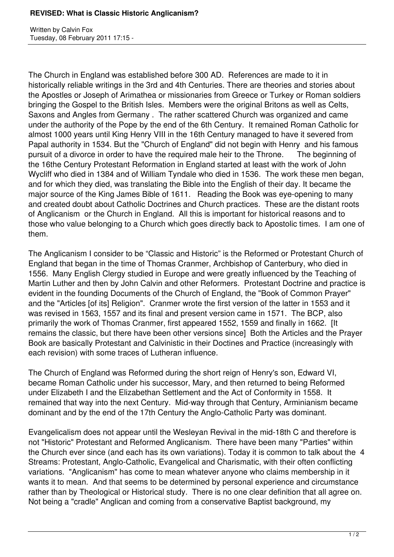Written by Calvin Fox Tuesday, 08 February 2011 17:15 -

The Church in England was established before 300 AD. References are made to it in historically reliable writings in the 3rd and 4th Centuries. There are theories and stories about the Apostles or Joseph of Arimathea or missionaries from Greece or Turkey or Roman soldiers bringing the Gospel to the British Isles. Members were the original Britons as well as Celts, Saxons and Angles from Germany . The rather scattered Church was organized and came under the authority of the Pope by the end of the 6th Century. It remained Roman Catholic for almost 1000 years until King Henry VIII in the 16th Century managed to have it severed from Papal authority in 1534. But the "Church of England" did not begin with Henry and his famous pursuit of a divorce in order to have the required male heir to the Throne. The beginning of the 16the Century Protestant Reformation in England started at least with the work of John Wycliff who died in 1384 and of William Tyndale who died in 1536. The work these men began, and for which they died, was translating the Bible into the English of their day. It became the major source of the King James Bible of 1611. Reading the Book was eye-opening to many and created doubt about Catholic Doctrines and Church practices. These are the distant roots of Anglicanism or the Church in England. All this is important for historical reasons and to those who value belonging to a Church which goes directly back to Apostolic times. I am one of them.

The Anglicanism I consider to be "Classic and Historic" is the Reformed or Protestant Church of England that began in the time of Thomas Cranmer, Archbishop of Canterbury, who died in 1556. Many English Clergy studied in Europe and were greatly influenced by the Teaching of Martin Luther and then by John Calvin and other Reformers. Protestant Doctrine and practice is evident in the founding Documents of the Church of England, the "Book of Common Prayer" and the "Articles [of its] Religion". Cranmer wrote the first version of the latter in 1553 and it was revised in 1563, 1557 and its final and present version came in 1571. The BCP, also primarily the work of Thomas Cranmer, first appeared 1552, 1559 and finally in 1662. [It remains the classic, but there have been other versions since] Both the Articles and the Prayer Book are basically Protestant and Calvinistic in their Doctines and Practice (increasingly with each revision) with some traces of Lutheran influence.

The Church of England was Reformed during the short reign of Henry's son, Edward VI, became Roman Catholic under his successor, Mary, and then returned to being Reformed under Elizabeth I and the Elizabethan Settlement and the Act of Conformity in 1558. It remained that way into the next Century. Mid-way through that Century, Arminianism became dominant and by the end of the 17th Century the Anglo-Catholic Party was dominant.

Evangelicalism does not appear until the Wesleyan Revival in the mid-18th C and therefore is not "Historic" Protestant and Reformed Anglicanism. There have been many "Parties" within the Church ever since (and each has its own variations). Today it is common to talk about the 4 Streams: Protestant, Anglo-Catholic, Evangelical and Charismatic, with their often conflicting variations. "Anglicanism" has come to mean whatever anyone who claims membership in it wants it to mean. And that seems to be determined by personal experience and circumstance rather than by Theological or Historical study. There is no one clear definition that all agree on. Not being a "cradle" Anglican and coming from a conservative Baptist background, my